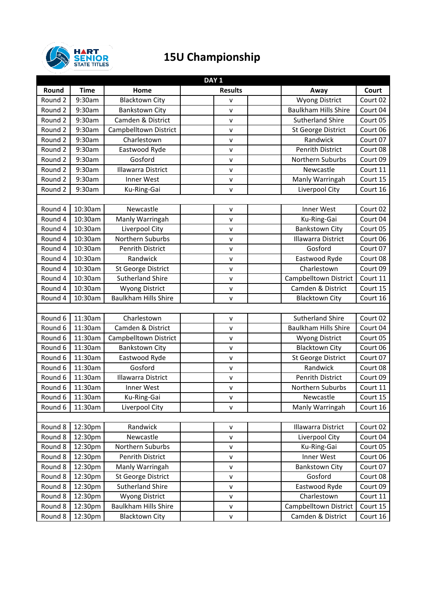

## **15U Championship**

|         | DAY <sub>1</sub> |                             |                |  |                             |          |  |  |
|---------|------------------|-----------------------------|----------------|--|-----------------------------|----------|--|--|
| Round   | <b>Time</b>      | Home                        | <b>Results</b> |  | Away                        | Court    |  |  |
| Round 2 | 9:30am           | <b>Blacktown City</b>       | ۷              |  | <b>Wyong District</b>       | Court 02 |  |  |
| Round 2 | 9:30am           | <b>Bankstown City</b>       | V              |  | <b>Baulkham Hills Shire</b> | Court 04 |  |  |
| Round 2 | 9:30am           | Camden & District           | v              |  | <b>Sutherland Shire</b>     | Court 05 |  |  |
| Round 2 | 9:30am           | Campbelltown District       | V              |  | <b>St George District</b>   | Court 06 |  |  |
| Round 2 | 9:30am           | Charlestown                 | V              |  | Randwick                    | Court 07 |  |  |
| Round 2 | 9:30am           | Eastwood Ryde               | V              |  | <b>Penrith District</b>     | Court 08 |  |  |
| Round 2 | 9:30am           | Gosford                     | ٧              |  | Northern Suburbs            | Court 09 |  |  |
| Round 2 | 9:30am           | <b>Illawarra District</b>   | V              |  | Newcastle                   | Court 11 |  |  |
| Round 2 | 9:30am           | Inner West                  | V              |  | Manly Warringah             | Court 15 |  |  |
| Round 2 | 9:30am           | Ku-Ring-Gai                 | V              |  | Liverpool City              | Court 16 |  |  |
|         |                  |                             |                |  |                             |          |  |  |
| Round 4 | 10:30am          | Newcastle                   | ٧              |  | Inner West                  | Court 02 |  |  |
| Round 4 | 10:30am          | Manly Warringah             | Λ              |  | Ku-Ring-Gai                 | Court 04 |  |  |
| Round 4 | 10:30am          | Liverpool City              | V              |  | <b>Bankstown City</b>       | Court 05 |  |  |
| Round 4 | 10:30am          | Northern Suburbs            | V              |  | <b>Illawarra District</b>   | Court 06 |  |  |
| Round 4 | 10:30am          | <b>Penrith District</b>     | V              |  | Gosford                     | Court 07 |  |  |
| Round 4 | 10:30am          | Randwick                    | V              |  | Eastwood Ryde               | Court 08 |  |  |
| Round 4 | 10:30am          | St George District          | V              |  | Charlestown                 | Court 09 |  |  |
| Round 4 | 10:30am          | <b>Sutherland Shire</b>     | V              |  | Campbelltown District       | Court 11 |  |  |
| Round 4 | 10:30am          | <b>Wyong District</b>       | ٧              |  | Camden & District           | Court 15 |  |  |
| Round 4 | 10:30am          | <b>Baulkham Hills Shire</b> | $\mathsf{V}$   |  | <b>Blacktown City</b>       | Court 16 |  |  |
|         |                  |                             |                |  |                             |          |  |  |
| Round 6 | 11:30am          | Charlestown                 | V              |  | <b>Sutherland Shire</b>     | Court 02 |  |  |
| Round 6 | 11:30am          | Camden & District           | V              |  | <b>Baulkham Hills Shire</b> | Court 04 |  |  |
| Round 6 | 11:30am          | Campbelltown District       | V              |  | <b>Wyong District</b>       | Court 05 |  |  |
| Round 6 | 11:30am          | <b>Bankstown City</b>       | V              |  | <b>Blacktown City</b>       | Court 06 |  |  |
| Round 6 | 11:30am          | Eastwood Ryde               | V              |  | St George District          | Court 07 |  |  |
| Round 6 | 11:30am          | Gosford                     | ٧              |  | Randwick                    | Court 08 |  |  |
| Round 6 | 11:30am          | <b>Illawarra District</b>   | V              |  | <b>Penrith District</b>     | Court 09 |  |  |
| Round 6 | 11:30am          | Inner West                  | V              |  | Northern Suburbs            | Court 11 |  |  |
| Round 6 | 11:30am          | Ku-Ring-Gai                 | v              |  | Newcastle                   | Court 15 |  |  |
| Round 6 | 11:30am          | Liverpool City              | v              |  | Manly Warringah             | Court 16 |  |  |
|         |                  |                             |                |  |                             |          |  |  |
| Round 8 | 12:30pm          | Randwick                    | v              |  | Illawarra District          | Court 02 |  |  |
| Round 8 | 12:30pm          | Newcastle                   | v              |  | Liverpool City              | Court 04 |  |  |
| Round 8 | 12:30pm          | Northern Suburbs            | Λ              |  | Ku-Ring-Gai                 | Court 05 |  |  |
| Round 8 | 12:30pm          | Penrith District            | V              |  | Inner West                  | Court 06 |  |  |
| Round 8 | 12:30pm          | Manly Warringah             | V              |  | <b>Bankstown City</b>       | Court 07 |  |  |
| Round 8 | 12:30pm          | St George District          | v              |  | Gosford                     | Court 08 |  |  |
| Round 8 | 12:30pm          | <b>Sutherland Shire</b>     | Λ              |  | Eastwood Ryde               | Court 09 |  |  |
| Round 8 | 12:30pm          | <b>Wyong District</b>       | ٧              |  | Charlestown                 | Court 11 |  |  |
| Round 8 | 12:30pm          | Baulkham Hills Shire        | ٧              |  | Campbelltown District       | Court 15 |  |  |
| Round 8 | 12:30pm          | <b>Blacktown City</b>       | ٧              |  | Camden & District           | Court 16 |  |  |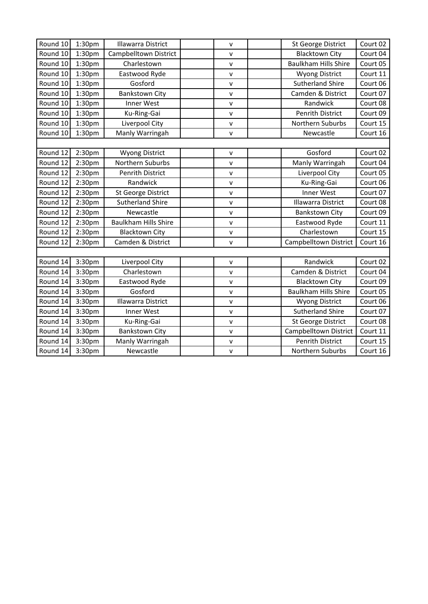| Round 10 | 1:30pm             | Illawarra District          | $\mathsf{V}$ | Court 02<br>St George District          |
|----------|--------------------|-----------------------------|--------------|-----------------------------------------|
| Round 10 | 1:30 <sub>pm</sub> | Campbelltown District       | v            | <b>Blacktown City</b><br>Court 04       |
| Round 10 | 1:30pm             | Charlestown                 | $\mathsf{v}$ | <b>Baulkham Hills Shire</b><br>Court 05 |
| Round 10 | 1:30pm             | Eastwood Ryde               | V            | Court 11<br><b>Wyong District</b>       |
| Round 10 | 1:30 <sub>pm</sub> | Gosford                     | V            | <b>Sutherland Shire</b><br>Court 06     |
| Round 10 | 1:30pm             | <b>Bankstown City</b>       | V            | Camden & District<br>Court 07           |
| Round 10 | 1:30pm             | Inner West                  | V            | Randwick<br>Court 08                    |
| Round 10 | 1:30 <sub>pm</sub> | Ku-Ring-Gai                 | v            | <b>Penrith District</b><br>Court 09     |
| Round 10 | 1:30pm             | Liverpool City              | $\mathsf{v}$ | Northern Suburbs<br>Court 15            |
| Round 10 | 1:30 <sub>pm</sub> | Manly Warringah             | V            | Court 16<br>Newcastle                   |
|          |                    |                             |              |                                         |
| Round 12 | 2:30pm             | <b>Wyong District</b>       | V            | Gosford<br>Court 02                     |
| Round 12 | 2:30pm             | Northern Suburbs            | ٧            | Court 04<br>Manly Warringah             |
| Round 12 | 2:30pm             | Penrith District            | V            | Liverpool City<br>Court 05              |
| Round 12 | 2:30 <sub>pm</sub> | Randwick                    | $\mathsf{v}$ | Ku-Ring-Gai<br>Court 06                 |
| Round 12 | 2:30pm             | St George District          | ٧            | Inner West<br>Court 07                  |
| Round 12 | 2:30 <sub>pm</sub> | <b>Sutherland Shire</b>     | V            | <b>Illawarra District</b><br>Court 08   |
| Round 12 | 2:30pm             | Newcastle                   | $\mathsf{V}$ | <b>Bankstown City</b><br>Court 09       |
| Round 12 | 2:30pm             | <b>Baulkham Hills Shire</b> | V            | Eastwood Ryde<br>Court 11               |
| Round 12 | 2:30 <sub>pm</sub> | <b>Blacktown City</b>       | v            | Charlestown<br>Court 15                 |
| Round 12 | 2:30pm             | Camden & District           | $\mathsf{V}$ | Campbelltown District<br>Court 16       |
|          |                    |                             |              |                                         |
| Round 14 | 3:30pm             | Liverpool City              | v            | Randwick<br>Court 02                    |
| Round 14 | 3:30pm             | Charlestown                 | $\mathsf{V}$ | Camden & District<br>Court 04           |
| Round 14 | 3:30pm             | Eastwood Ryde               | $\mathsf{v}$ | <b>Blacktown City</b><br>Court 09       |
| Round 14 | 3:30pm             | Gosford                     | V            | <b>Baulkham Hills Shire</b><br>Court 05 |
| Round 14 | 3:30pm             | Illawarra District          | V            | Court 06<br><b>Wyong District</b>       |
| Round 14 | 3:30pm             | Inner West                  | V            | <b>Sutherland Shire</b><br>Court 07     |
| Round 14 | 3:30pm             | Ku-Ring-Gai                 | v            | Court 08<br><b>St George District</b>   |
| Round 14 | 3:30pm             | <b>Bankstown City</b>       | V            | Campbelltown District<br>Court 11       |
| Round 14 | 3:30pm             | Manly Warringah             | V            | <b>Penrith District</b><br>Court 15     |
| Round 14 | 3:30pm             | Newcastle                   | $\mathsf{v}$ | Northern Suburbs<br>Court 16            |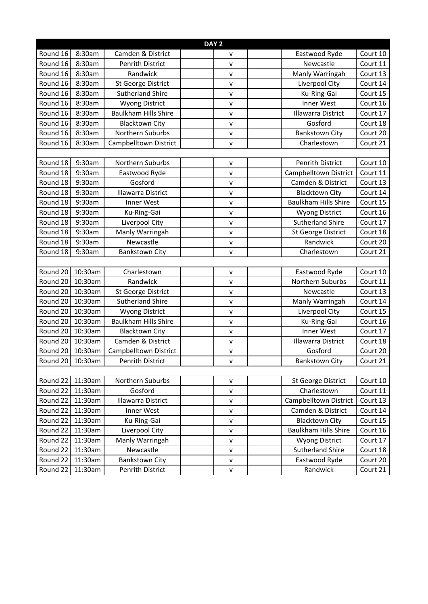| DAY <sub>2</sub> |         |                             |              |                             |          |  |  |
|------------------|---------|-----------------------------|--------------|-----------------------------|----------|--|--|
| Round 16         | 8:30am  | Camden & District           | v            | Eastwood Ryde               | Court 10 |  |  |
| Round 16         | 8:30am  | <b>Penrith District</b>     | V            | Newcastle                   | Court 11 |  |  |
| Round 16         | 8:30am  | Randwick                    | $\mathsf{v}$ | Manly Warringah             | Court 13 |  |  |
| Round 16         | 8:30am  | St George District          | $\mathsf{v}$ | Liverpool City              | Court 14 |  |  |
| Round 16         | 8:30am  | <b>Sutherland Shire</b>     | v            | Ku-Ring-Gai                 | Court 15 |  |  |
| Round 16         | 8:30am  | <b>Wyong District</b>       | $\mathsf{v}$ | Inner West                  | Court 16 |  |  |
| Round 16         | 8:30am  | <b>Baulkham Hills Shire</b> | $\mathsf{v}$ | Illawarra District          | Court 17 |  |  |
| Round 16         | 8:30am  | <b>Blacktown City</b>       | $\mathsf{v}$ | Gosford                     | Court 18 |  |  |
| Round 16         | 8:30am  | Northern Suburbs            | $\mathsf{v}$ | <b>Bankstown City</b>       | Court 20 |  |  |
| Round 16         | 8:30am  | Campbelltown District       | v            | Charlestown                 | Court 21 |  |  |
|                  |         |                             |              |                             |          |  |  |
| Round 18         | 9:30am  | Northern Suburbs            | v            | <b>Penrith District</b>     | Court 10 |  |  |
| Round 18         | 9:30am  | Eastwood Ryde               | $\mathsf{v}$ | Campbelltown District       | Court 11 |  |  |
| Round 18         | 9:30am  | Gosford                     | $\mathsf{v}$ | Camden & District           | Court 13 |  |  |
| Round 18         | 9:30am  | Illawarra District          | v            | <b>Blacktown City</b>       | Court 14 |  |  |
| Round 18         | 9:30am  | Inner West                  | $\mathsf{v}$ | <b>Baulkham Hills Shire</b> | Court 15 |  |  |
| Round 18         | 9:30am  | Ku-Ring-Gai                 | $\mathsf{v}$ | <b>Wyong District</b>       | Court 16 |  |  |
| Round 18         | 9:30am  | Liverpool City              | $\mathsf{v}$ | <b>Sutherland Shire</b>     | Court 17 |  |  |
| Round 18         | 9:30am  | Manly Warringah             | V            | St George District          | Court 18 |  |  |
| Round 18         | 9:30am  | Newcastle                   | v            | Randwick                    | Court 20 |  |  |
| Round 18         | 9:30am  | <b>Bankstown City</b>       | $\mathsf{v}$ | Charlestown                 | Court 21 |  |  |
|                  |         |                             |              |                             |          |  |  |
| Round 20         | 10:30am | Charlestown                 | $\mathsf{v}$ | Eastwood Ryde               | Court 10 |  |  |
| Round 20         | 10:30am | Randwick                    | $\mathsf{V}$ | Northern Suburbs            | Court 11 |  |  |
| Round 20         | 10:30am | St George District          | v            | Newcastle                   | Court 13 |  |  |
| Round 20         | 10:30am | <b>Sutherland Shire</b>     | $\mathsf{v}$ | Manly Warringah             | Court 14 |  |  |
| Round 20         | 10:30am | <b>Wyong District</b>       | v            | Liverpool City              | Court 15 |  |  |
| Round 20         | 10:30am | <b>Baulkham Hills Shire</b> | $\mathsf{v}$ | Ku-Ring-Gai                 | Court 16 |  |  |
| Round 20         | 10:30am | <b>Blacktown City</b>       | $\mathsf{v}$ | Inner West                  | Court 17 |  |  |
| Round 20         | 10:30am | Camden & District           | $\mathsf{v}$ | Illawarra District          | Court 18 |  |  |
| Round 20 10:30am |         | Campbelltown District       | $\mathsf{V}$ | Gosford                     | Court 20 |  |  |
| Round 20 10:30am |         | Penrith District            | ۷            | <b>Bankstown City</b>       | Court 21 |  |  |
|                  |         |                             |              |                             |          |  |  |
| Round 22         | 11:30am | Northern Suburbs            | $\mathsf{V}$ | St George District          | Court 10 |  |  |
| Round 22         | 11:30am | Gosford                     | v            | Charlestown                 | Court 11 |  |  |
| Round 22         | 11:30am | Illawarra District          | $\mathsf{v}$ | Campbelltown District       | Court 13 |  |  |
| Round 22         | 11:30am | Inner West                  | $\mathsf{V}$ | Camden & District           | Court 14 |  |  |
| Round 22         | 11:30am | Ku-Ring-Gai                 | $\mathsf{v}$ | <b>Blacktown City</b>       | Court 15 |  |  |
| Round 22         | 11:30am | Liverpool City              | V            | <b>Baulkham Hills Shire</b> | Court 16 |  |  |
| Round 22         | 11:30am | Manly Warringah             | $\mathsf{V}$ | <b>Wyong District</b>       | Court 17 |  |  |
| Round 22         | 11:30am | Newcastle                   | $\mathsf{V}$ | <b>Sutherland Shire</b>     | Court 18 |  |  |
| Round 22         | 11:30am | <b>Bankstown City</b>       | v            | Eastwood Ryde               | Court 20 |  |  |
| Round 22         | 11:30am | Penrith District            | v            | Randwick                    | Court 21 |  |  |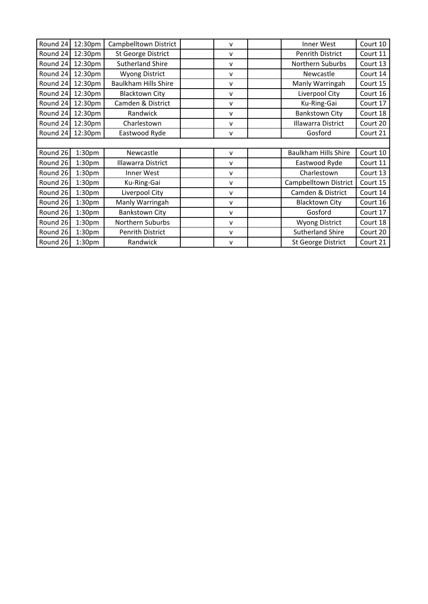| Round 24 | 12:30pm            | Campbelltown District       | ۷            | Inner West                | Court 10 |
|----------|--------------------|-----------------------------|--------------|---------------------------|----------|
| Round 24 | 12:30pm            | St George District          | v            | Penrith District          | Court 11 |
| Round 24 | 12:30pm            | <b>Sutherland Shire</b>     | v            | Northern Suburbs          | Court 13 |
| Round 24 | 12:30pm            | <b>Wyong District</b>       | $\mathsf{v}$ | Newcastle                 | Court 14 |
| Round 24 | 12:30pm            | <b>Baulkham Hills Shire</b> | v            | Manly Warringah           | Court 15 |
| Round 24 | 12:30pm            | <b>Blacktown City</b>       | v            | Liverpool City            | Court 16 |
| Round 24 | 12:30pm            | Camden & District           | v            | Ku-Ring-Gai               | Court 17 |
| Round 24 | 12:30pm            | Randwick                    | $\mathsf{v}$ | <b>Bankstown City</b>     | Court 18 |
| Round 24 | 12:30pm            | Charlestown                 | v            | Illawarra District        | Court 20 |
| Round 24 | 12:30pm            | Eastwood Ryde               | v            | Gosford                   | Court 21 |
|          |                    |                             |              |                           |          |
| Round 26 | 1:30 <sub>pm</sub> | Newcastle                   | v            | Baulkham Hills Shire      | Court 10 |
| Round 26 | 1:30 <sub>pm</sub> | Illawarra District          | v            | Eastwood Ryde             | Court 11 |
| Round 26 | 1:30 <sub>pm</sub> | Inner West                  | v            | Charlestown               | Court 13 |
| Round 26 | 1:30 <sub>pm</sub> | Ku-Ring-Gai                 | v            | Campbelltown District     | Court 15 |
| Round 26 | 1:30 <sub>pm</sub> | Liverpool City              | v            | Camden & District         | Court 14 |
| Round 26 | 1:30 <sub>pm</sub> | Manly Warringah             | v            | <b>Blacktown City</b>     | Court 16 |
| Round 26 | 1:30 <sub>pm</sub> | Bankstown City              | v            | Gosford                   | Court 17 |
| Round 26 | 1:30 <sub>pm</sub> | Northern Suburbs            | v            | <b>Wyong District</b>     | Court 18 |
| Round 26 | 1:30 <sub>pm</sub> | Penrith District            | v            | <b>Sutherland Shire</b>   | Court 20 |
| Round 26 | 1:30 <sub>pm</sub> | Randwick                    | v            | <b>St George District</b> | Court 21 |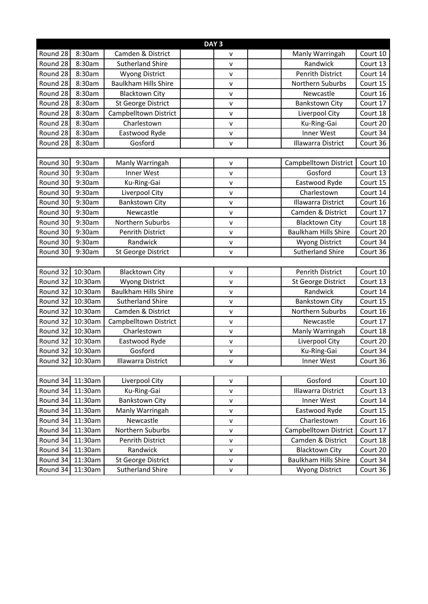| DAY <sub>3</sub> |         |                             |              |                             |                       |  |  |
|------------------|---------|-----------------------------|--------------|-----------------------------|-----------------------|--|--|
| Round 28         | 8:30am  | Camden & District           | v            | Manly Warringah             | Court 10              |  |  |
| Round 28         | 8:30am  | <b>Sutherland Shire</b>     | $\mathsf{V}$ | Randwick                    | Court 13              |  |  |
| Round 28         | 8:30am  | <b>Wyong District</b>       | v            | <b>Penrith District</b>     | Court 14              |  |  |
| Round 28         | 8:30am  | <b>Baulkham Hills Shire</b> | $\mathsf{v}$ | Northern Suburbs            | Court 15              |  |  |
| Round 28         | 8:30am  | <b>Blacktown City</b>       | $\mathsf{v}$ | Newcastle                   | Court 16              |  |  |
| Round 28         | 8:30am  | <b>St George District</b>   | v            | <b>Bankstown City</b>       | Court 17              |  |  |
| Round 28         | 8:30am  | Campbelltown District       | $\mathsf{v}$ | Liverpool City              | Court 18              |  |  |
| Round 28         | 8:30am  | Charlestown                 | $\mathsf{v}$ | Ku-Ring-Gai                 | Court 20              |  |  |
| Round 28         | 8:30am  | Eastwood Ryde               | $\mathsf{v}$ | Inner West                  | Court 34              |  |  |
| Round 28         | 8:30am  | Gosford                     | $\mathsf{v}$ | <b>Illawarra District</b>   | Court 36              |  |  |
|                  |         |                             |              |                             |                       |  |  |
| Round 30         | 9:30am  | Manly Warringah             | V            | Campbelltown District       | Court 10              |  |  |
| Round 30         | 9:30am  | Inner West                  | v            | Gosford                     | Court 13              |  |  |
| Round 30         | 9:30am  | Ku-Ring-Gai                 | $\mathsf{v}$ | Eastwood Ryde               | Court 15              |  |  |
| Round 30         | 9:30am  | Liverpool City              | $\mathsf{V}$ | Charlestown                 | Court 14              |  |  |
| Round 30         | 9:30am  | <b>Bankstown City</b>       | $\mathsf{V}$ | <b>Illawarra District</b>   | Court 16              |  |  |
| Round 30         | 9:30am  | Newcastle                   | $\mathsf{V}$ | Camden & District           | Court 17              |  |  |
| Round 30         | 9:30am  | Northern Suburbs            | v            | <b>Blacktown City</b>       | Court 18              |  |  |
| Round 30         | 9:30am  | <b>Penrith District</b>     | $\mathsf{V}$ | <b>Baulkham Hills Shire</b> | Court 20              |  |  |
| Round 30         | 9:30am  | Randwick                    | v            | <b>Wyong District</b>       | Court 34              |  |  |
| Round 30         | 9:30am  | St George District          | $\mathsf{v}$ | <b>Sutherland Shire</b>     | Court 36              |  |  |
|                  |         |                             |              |                             |                       |  |  |
| Round 32         | 10:30am | <b>Blacktown City</b>       | $\mathsf{V}$ | <b>Penrith District</b>     | Court 10              |  |  |
| Round 32         | 10:30am | <b>Wyong District</b>       | $\mathsf{v}$ | St George District          | Court 13              |  |  |
| Round 32         | 10:30am | <b>Baulkham Hills Shire</b> | V            | Randwick                    | Court 14              |  |  |
| Round 32         | 10:30am | <b>Sutherland Shire</b>     | $\mathsf{V}$ | <b>Bankstown City</b>       | Court 15              |  |  |
| Round 32         | 10:30am | Camden & District           | $\mathsf{v}$ | Northern Suburbs            | Court 16              |  |  |
| Round 32         | 10:30am | Campbelltown District       | v            | Newcastle                   | Court $1\overline{7}$ |  |  |
| Round 32         | 10:30am | Charlestown                 | $\mathsf{v}$ | Manly Warringah             | Court 18              |  |  |
| Round 32         | 10:30am | Eastwood Ryde               | $\mathsf{v}$ | Liverpool City              | Court 20              |  |  |
| Round 32 10:30am |         | Gosford                     | $\mathsf{v}$ | Ku-Ring-Gai                 | Court 34              |  |  |
| Round 32 10:30am |         | Illawarra District          | v            | Inner West                  | Court 36              |  |  |
|                  |         |                             |              |                             |                       |  |  |
| Round 34         | 11:30am | Liverpool City              | v            | Gosford                     | Court 10              |  |  |
| Round 34         | 11:30am | Ku-Ring-Gai                 | V            | <b>Illawarra District</b>   | Court 13              |  |  |
| Round 34         | 11:30am | <b>Bankstown City</b>       | v            | Inner West                  | Court 14              |  |  |
| Round 34         | 11:30am | Manly Warringah             | V            | Eastwood Ryde               | Court 15              |  |  |
| Round 34         | 11:30am | Newcastle                   | V            | Charlestown                 | Court 16              |  |  |
| Round 34         | 11:30am | Northern Suburbs            | $\mathsf{v}$ | Campbelltown District       | Court 17              |  |  |
| Round 34         | 11:30am | Penrith District            | V            | Camden & District           | Court 18              |  |  |
| Round 34         | 11:30am | Randwick                    | v            | <b>Blacktown City</b>       | Court 20              |  |  |
| Round 34         | 11:30am | St George District          | $\mathsf{V}$ | <b>Baulkham Hills Shire</b> | Court 34              |  |  |
| Round 34         | 11:30am | <b>Sutherland Shire</b>     | $\mathsf{v}$ | <b>Wyong District</b>       | Court 36              |  |  |